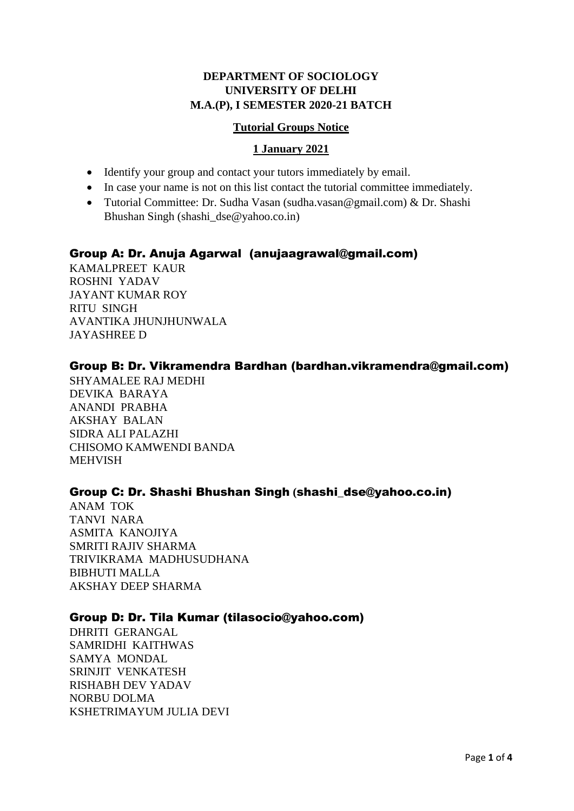# **DEPARTMENT OF SOCIOLOGY UNIVERSITY OF DELHI M.A.(P), I SEMESTER 2020-21 BATCH**

### **Tutorial Groups Notice**

### **1 January 2021**

- Identify your group and contact your tutors immediately by email.
- In case your name is not on this list contact the tutorial committee immediately.
- Tutorial Committee: Dr. Sudha Vasan (sudha.vasan@gmail.com) & Dr. Shashi Bhushan Singh (shashi\_dse@yahoo.co.in)

# Group A: Dr. Anuja Agarwal (anujaagrawal@gmail.com)

KAMALPREET KAUR ROSHNI YADAV JAYANT KUMAR ROY RITU SINGH AVANTIKA JHUNJHUNWALA JAYASHREE D

# Group B: Dr. Vikramendra Bardhan (bardhan.vikramendra@gmail.com)

SHYAMALEE RAJ MEDHI DEVIKA BARAYA ANANDI PRABHA AKSHAY BALAN SIDRA ALI PALAZHI CHISOMO KAMWENDI BANDA MEHVISH

## Group C: Dr. Shashi Bhushan Singh **(**shashi\_dse@yahoo.co.in)

ANAM TOK TANVI NARA ASMITA KANOJIYA SMRITI RAJIV SHARMA TRIVIKRAMA MADHUSUDHANA BIBHUTI MALLA AKSHAY DEEP SHARMA

## Group D: Dr. Tila Kumar (tilasocio@yahoo.com)

DHRITI GERANGAL SAMRIDHI KAITHWAS SAMYA MONDAL SRINJIT VENKATESH RISHABH DEV YADAV NORBU DOLMA KSHETRIMAYUM JULIA DEVI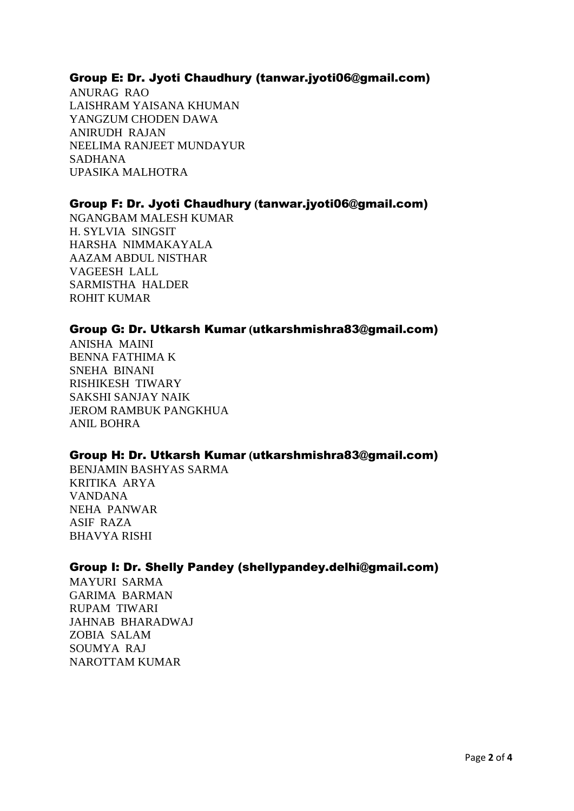## Group E: Dr. Jyoti Chaudhury (tanwar.jyoti06@gmail.com)

ANURAG RAO LAISHRAM YAISANA KHUMAN YANGZUM CHODEN DAWA ANIRUDH RAJAN NEELIMA RANJEET MUNDAYUR SADHANA UPASIKA MALHOTRA

## Group F: Dr. Jyoti Chaudhury **(**tanwar.jyoti06@gmail.com)

NGANGBAM MALESH KUMAR H. SYLVIA SINGSIT HARSHA NIMMAKAYALA AAZAM ABDUL NISTHAR VAGEESH LALL SARMISTHA HALDER ROHIT KUMAR

### Group G: Dr. Utkarsh Kumar **(**utkarshmishra83@gmail.com)

ANISHA MAINI BENNA FATHIMA K SNEHA BINANI RISHIKESH TIWARY SAKSHI SANJAY NAIK JEROM RAMBUK PANGKHUA ANIL BOHRA

## Group H: Dr. Utkarsh Kumar **(**utkarshmishra83@gmail.com)

BENJAMIN BASHYAS SARMA KRITIKA ARYA VANDANA NEHA PANWAR ASIF RAZA BHAVYA RISHI

#### Group I: Dr. Shelly Pandey (shellypandey.delhi@gmail.com)

MAYURI SARMA GARIMA BARMAN RUPAM TIWARI JAHNAB BHARADWAJ ZOBIA SALAM SOUMYA RAJ NAROTTAM KUMAR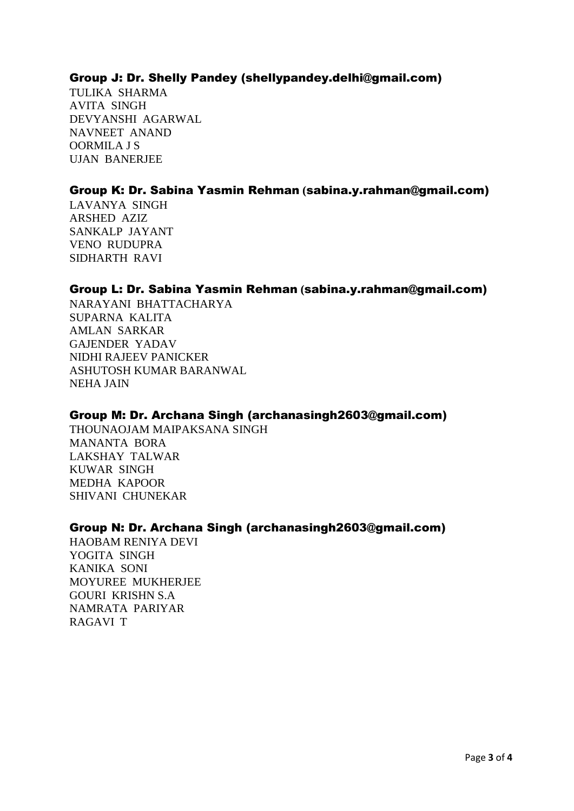## Group J: Dr. Shelly Pandey (shellypandey.delhi@gmail.com)

TULIKA SHARMA AVITA SINGH DEVYANSHI AGARWAL NAVNEET ANAND OORMILA J S UJAN BANERJEE

# Group K: Dr. Sabina Yasmin Rehman **(**sabina.y.rahman@gmail.com)

LAVANYA SINGH ARSHED AZIZ SANKALP JAYANT VENO RUDUPRA SIDHARTH RAVI

## Group L: Dr. Sabina Yasmin Rehman **(**sabina.y.rahman@gmail.com)

NARAYANI BHATTACHARYA SUPARNA KALITA AMLAN SARKAR GAJENDER YADAV NIDHI RAJEEV PANICKER ASHUTOSH KUMAR BARANWAL NEHA JAIN

## Group M: Dr. Archana Singh (archanasingh2603@gmail.com)

THOUNAOJAM MAIPAKSANA SINGH MANANTA BORA LAKSHAY TALWAR KUWAR SINGH MEDHA KAPOOR SHIVANI CHUNEKAR

#### Group N: Dr. Archana Singh (archanasingh2603@gmail.com)

HAOBAM RENIYA DEVI YOGITA SINGH KANIKA SONI MOYUREE MUKHERJEE GOURI KRISHN S.A NAMRATA PARIYAR RAGAVI T